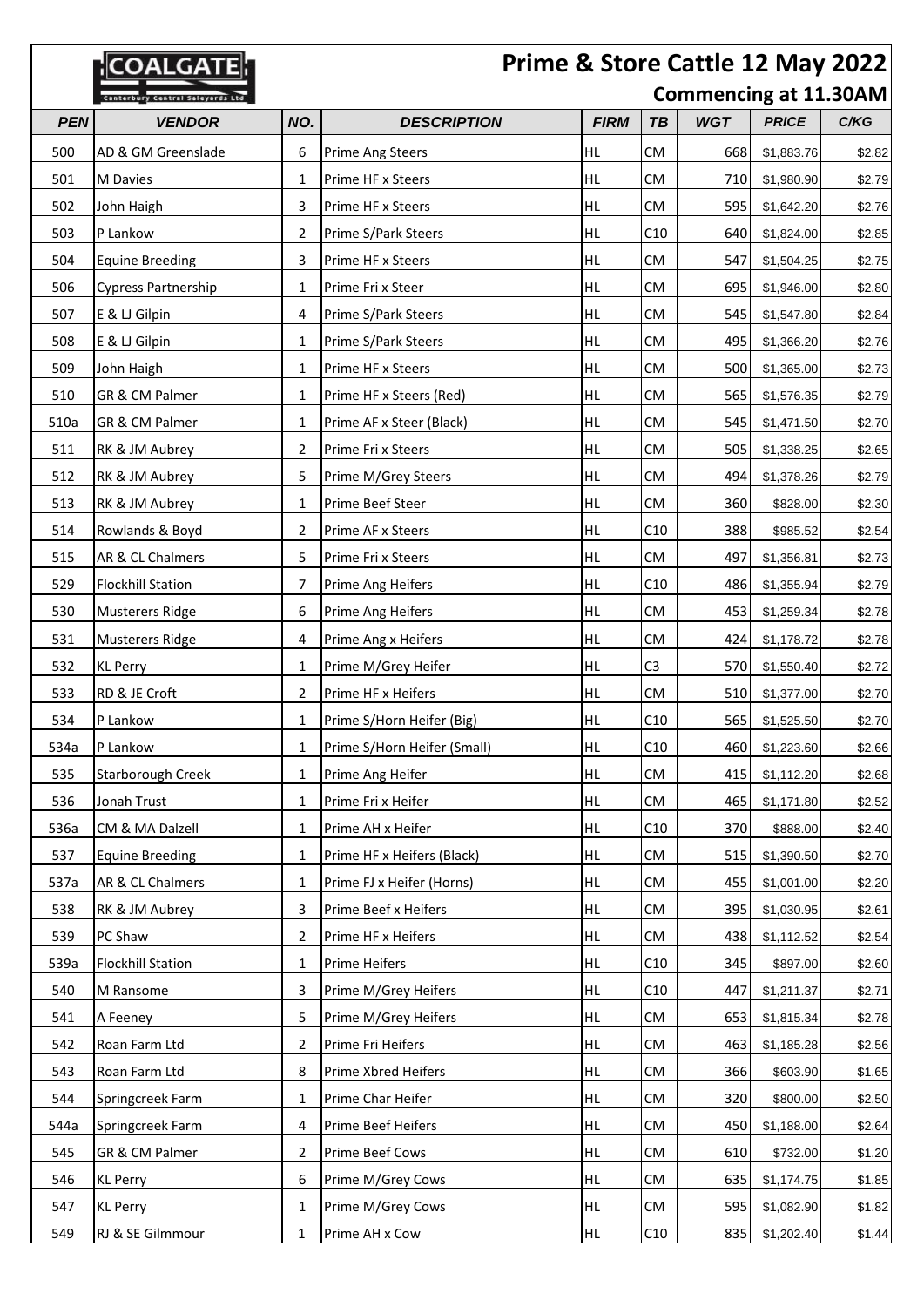| Prime & Store Cattle 12 May 2022<br>COALGAT |                                         |                              |                             |             |                 |            |              |        |
|---------------------------------------------|-----------------------------------------|------------------------------|-----------------------------|-------------|-----------------|------------|--------------|--------|
|                                             | <b>Canterbury Central Saleyards Ltd</b> | <b>Commencing at 11.30AM</b> |                             |             |                 |            |              |        |
| <b>PEN</b>                                  | <b>VENDOR</b>                           | NO.                          | <b>DESCRIPTION</b>          | <b>FIRM</b> | <b>TB</b>       | <b>WGT</b> | <b>PRICE</b> | C/KG   |
| 500                                         | AD & GM Greenslade                      | 6                            | <b>Prime Ang Steers</b>     | HL          | CM              | 668        | \$1,883.76   | \$2.82 |
| 501                                         | M Davies                                | 1                            | Prime HF x Steers           | HL          | <b>CM</b>       | 710        | \$1,980.90   | \$2.79 |
| 502                                         | John Haigh                              | 3                            | Prime HF x Steers           | HL          | <b>CM</b>       | 595        | \$1,642.20   | \$2.76 |
| 503                                         | P Lankow                                | 2                            | Prime S/Park Steers         | HL.         | C10             | 640        | \$1,824.00   | \$2.85 |
| 504                                         | <b>Equine Breeding</b>                  | 3                            | Prime HF x Steers           | <b>HL</b>   | <b>CM</b>       | 547        | \$1,504.25   | \$2.75 |
| 506                                         | Cypress Partnership                     | 1                            | Prime Fri x Steer           | <b>HL</b>   | <b>CM</b>       | 695        | \$1,946.00   | \$2.80 |
| 507                                         | E & LJ Gilpin                           | 4                            | Prime S/Park Steers         | HL          | <b>CM</b>       | 545        | \$1,547.80   | \$2.84 |
| 508                                         | E & LJ Gilpin                           | 1                            | Prime S/Park Steers         | HL          | <b>CM</b>       | 495        | \$1,366.20   | \$2.76 |
| 509                                         | John Haigh                              | 1                            | Prime HF x Steers           | HL          | <b>CM</b>       | 500        | \$1,365.00   | \$2.73 |
| 510                                         | GR & CM Palmer                          | 1                            | Prime HF x Steers (Red)     | <b>HL</b>   | <b>CM</b>       | 565        | \$1,576.35   | \$2.79 |
| 510a                                        | GR & CM Palmer                          | 1                            | Prime AF x Steer (Black)    | <b>HL</b>   | <b>CM</b>       | 545        | \$1,471.50   | \$2.70 |
| 511                                         | RK & JM Aubrey                          | 2                            | Prime Fri x Steers          | HL          | <b>CM</b>       | 505        | \$1,338.25   | \$2.65 |
| 512                                         | RK & JM Aubrey                          | 5                            | Prime M/Grey Steers         | HL          | <b>CM</b>       | 494        | \$1,378.26   | \$2.79 |
| 513                                         | RK & JM Aubrey                          | 1                            | Prime Beef Steer            | HL          | <b>CM</b>       | 360        | \$828.00     | \$2.30 |
| 514                                         | Rowlands & Boyd                         | 2                            | Prime AF x Steers           | <b>HL</b>   | C10             | 388        | \$985.52     | \$2.54 |
| 515                                         | AR & CL Chalmers                        | 5                            | Prime Fri x Steers          | <b>HL</b>   | <b>CM</b>       | 497        | \$1,356.81   | \$2.73 |
| 529                                         | <b>Flockhill Station</b>                | 7                            | Prime Ang Heifers           | HL.         | C10             | 486        | \$1,355.94   | \$2.79 |
| 530                                         | Musterers Ridge                         | 6                            | Prime Ang Heifers           | HL          | <b>CM</b>       | 453        | \$1,259.34   | \$2.78 |
| 531                                         | Musterers Ridge                         | 4                            | Prime Ang x Heifers         | HL          | <b>CM</b>       | 424        | \$1,178.72   | \$2.78 |
| 532                                         | <b>KL Perry</b>                         | 1                            | Prime M/Grey Heifer         | <b>HL</b>   | C <sub>3</sub>  | 570        | \$1,550.40   | \$2.72 |
| 533                                         | RD & JE Croft                           | 2                            | Prime HF x Heifers          | <b>HL</b>   | <b>CM</b>       | 510        | \$1,377.00   | \$2.70 |
| 534                                         | P Lankow                                | 1                            | Prime S/Horn Heifer (Big)   | HL.         | C10             | 565        | \$1,525.50   | \$2.70 |
| 534a                                        | P Lankow                                | 1                            | Prime S/Horn Heifer (Small) | HL          | C <sub>10</sub> | 460        | \$1,223.60   | \$2.66 |
| 535                                         | Starborough Creek                       | 1                            | Prime Ang Heifer            | HL.         | <b>CM</b>       | 415        | \$1,112.20   | \$2.68 |
| 536                                         | Jonah Trust                             | 1                            | Prime Fri x Heifer          | HL          | <b>CM</b>       | 465        | \$1,171.80   | \$2.52 |
| 536a                                        | CM & MA Dalzell                         | 1                            | Prime AH x Heifer           | HL          | C10             | 370        | \$888.00     | \$2.40 |
| 537                                         | <b>Equine Breeding</b>                  | 1                            | Prime HF x Heifers (Black)  | HL.         | <b>CM</b>       | 515        | \$1,390.50   | \$2.70 |
| 537a                                        | AR & CL Chalmers                        | 1                            | Prime FJ x Heifer (Horns)   | HL          | <b>CM</b>       | 455        | \$1,001.00   | \$2.20 |
| 538                                         | RK & JM Aubrey                          | 3                            | Prime Beef x Heifers        | <b>HL</b>   | CM              | 395        | \$1,030.95   | \$2.61 |
| 539                                         | PC Shaw                                 | 2                            | Prime HF x Heifers          | HL          | CM              | 438        | \$1,112.52   | \$2.54 |
| 539a                                        | <b>Flockhill Station</b>                | 1                            | Prime Heifers               | HL          | C10             | 345        | \$897.00     | \$2.60 |
| 540                                         | M Ransome                               | 3                            | Prime M/Grey Heifers        | <b>HL</b>   | C10             | 447        | \$1,211.37   | \$2.71 |
| 541                                         | A Feeney                                | 5                            | Prime M/Grey Heifers        | HL          | <b>CM</b>       | 653        | \$1,815.34   | \$2.78 |
| 542                                         | Roan Farm Ltd                           | 2                            | Prime Fri Heifers           | HL.         | <b>CM</b>       | 463        | \$1,185.28   | \$2.56 |
| 543                                         | Roan Farm Ltd                           | 8                            | Prime Xbred Heifers         | HL          | <b>CM</b>       | 366        | \$603.90     | \$1.65 |
| 544                                         | Springcreek Farm                        | 1                            | Prime Char Heifer           | <b>HL</b>   | <b>CM</b>       | 320        | \$800.00     | \$2.50 |
| 544a                                        | Springcreek Farm                        | 4                            | Prime Beef Heifers          | HL          | CM              | 450        | \$1,188.00   | \$2.64 |
| 545                                         | GR & CM Palmer                          | 2                            | Prime Beef Cows             | HL          | <b>CM</b>       | 610        | \$732.00     | \$1.20 |
| 546                                         | <b>KL Perry</b>                         | 6                            | Prime M/Grey Cows           | <b>HL</b>   | CM              | 635        | \$1,174.75   | \$1.85 |
| 547                                         | <b>KL Perry</b>                         | 1                            | Prime M/Grey Cows           | HL          | <b>CM</b>       | 595        | \$1,082.90   | \$1.82 |
| 549                                         | RJ & SE Gilmmour                        | 1                            | Prime AH x Cow              | HL          | C10             | 835        | \$1,202.40   | \$1.44 |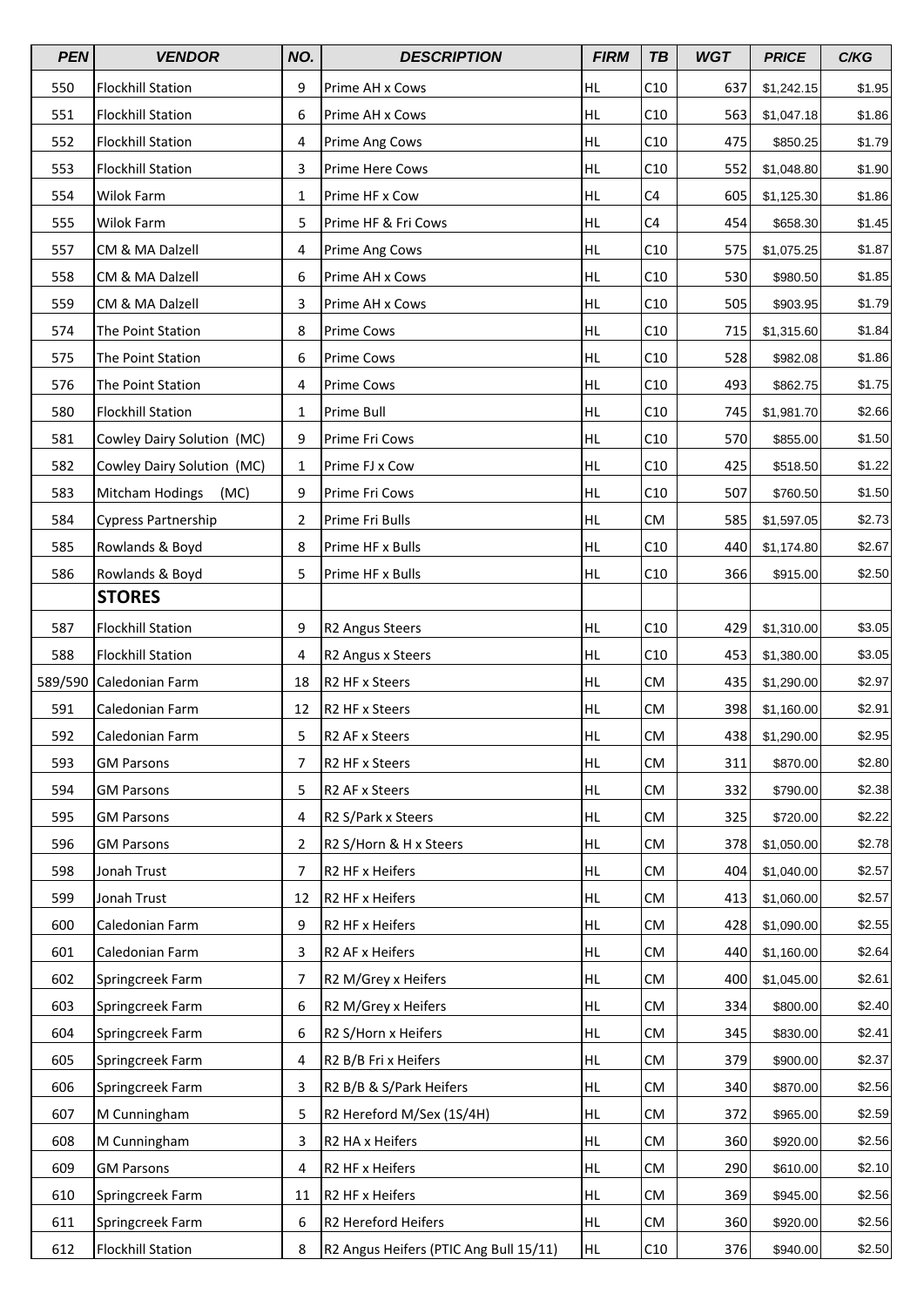| <b>PEN</b> | <b>VENDOR</b>                  | NO.            | <b>DESCRIPTION</b>                     | <b>FIRM</b> | <b>TB</b>      | <b>WGT</b> | <b>PRICE</b> | C/KG   |
|------------|--------------------------------|----------------|----------------------------------------|-------------|----------------|------------|--------------|--------|
| 550        | <b>Flockhill Station</b>       | 9              | Prime AH x Cows                        | <b>HL</b>   | C10            | 637        | \$1,242.15   | \$1.95 |
| 551        | <b>Flockhill Station</b>       | 6              | Prime AH x Cows                        | HL          | C10            | 563        | \$1,047.18   | \$1.86 |
| 552        | <b>Flockhill Station</b>       | 4              | Prime Ang Cows                         | HL          | C10            | 475        | \$850.25     | \$1.79 |
| 553        | <b>Flockhill Station</b>       | 3              | Prime Here Cows                        | HL          | C10            | 552        | \$1,048.80   | \$1.90 |
| 554        | Wilok Farm                     | 1              | Prime HF x Cow                         | HL          | C4             | 605        | \$1,125.30   | \$1.86 |
| 555        | Wilok Farm                     | 5              | Prime HF & Fri Cows                    | <b>HL</b>   | C <sub>4</sub> | 454        | \$658.30     | \$1.45 |
| 557        | CM & MA Dalzell                | 4              | Prime Ang Cows                         | <b>HL</b>   | C10            | 575        | \$1,075.25   | \$1.87 |
| 558        | CM & MA Dalzell                | 6              | Prime AH x Cows                        | HL          | C10            | 530        | \$980.50     | \$1.85 |
| 559        | CM & MA Dalzell                | 3              | Prime AH x Cows                        | <b>HL</b>   | C10            | 505        | \$903.95     | \$1.79 |
| 574        | The Point Station              | 8              | <b>Prime Cows</b>                      | HL          | C10            | 715        | \$1,315.60   | \$1.84 |
| 575        | The Point Station              | 6              | <b>Prime Cows</b>                      | <b>HL</b>   | C10            | 528        | \$982.08     | \$1.86 |
| 576        | The Point Station              | 4              | <b>Prime Cows</b>                      | <b>HL</b>   | C10            | 493        | \$862.75     | \$1.75 |
| 580        | <b>Flockhill Station</b>       | 1              | Prime Bull                             | HL          | C10            | 745        | \$1,981.70   | \$2.66 |
| 581        | Cowley Dairy Solution (MC)     | 9              | Prime Fri Cows                         | <b>HL</b>   | C10            | 570        | \$855.00     | \$1.50 |
| 582        | Cowley Dairy Solution (MC)     | 1              | Prime FJ x Cow                         | HL          | C10            | 425        | \$518.50     | \$1.22 |
| 583        | <b>Mitcham Hodings</b><br>(MC) | 9              | Prime Fri Cows                         | <b>HL</b>   | C10            | 507        | \$760.50     | \$1.50 |
| 584        | <b>Cypress Partnership</b>     | 2              | Prime Fri Bulls                        | HL          | <b>CM</b>      | 585        | \$1,597.05   | \$2.73 |
| 585        | Rowlands & Boyd                | 8              | Prime HF x Bulls                       | HL          | C10            | 440        | \$1,174.80   | \$2.67 |
| 586        | Rowlands & Boyd                | 5              | Prime HF x Bulls                       | <b>HL</b>   | C10            | 366        | \$915.00     | \$2.50 |
|            | <b>STORES</b>                  |                |                                        |             |                |            |              |        |
| 587        | <b>Flockhill Station</b>       | 9              | R2 Angus Steers                        | <b>HL</b>   | C10            | 429        | \$1,310.00   | \$3.05 |
| 588        | <b>Flockhill Station</b>       | 4              | R2 Angus x Steers                      | HL          | C10            | 453        | \$1,380.00   | \$3.05 |
| 589/590    | Caledonian Farm                | 18             | R2 HF x Steers                         | HL          | CM             | 435        | \$1,290.00   | \$2.97 |
| 591        | Caledonian Farm                | 12             | R2 HF x Steers                         | HL          | CM             | 398        | \$1,160.00   | \$2.91 |
| 592        | Caledonian Farm                | 5              | R <sub>2</sub> AF x Steers             | <b>HL</b>   | <b>CM</b>      | 438        | \$1,290.00   | \$2.95 |
| 593        | <b>GM Parsons</b>              | 7              | R2 HF x Steers                         | HL          | <b>CM</b>      | 311        | \$870.00     | \$2.80 |
| 594        | <b>GM Parsons</b>              | 5              | R2 AF x Steers                         | HL          | <b>CM</b>      | 332        | \$790.00     | \$2.38 |
| 595        | <b>GM Parsons</b>              | 4              | R2 S/Park x Steers                     | HL          | CM             | 325        | \$720.00     | \$2.22 |
| 596        | <b>GM Parsons</b>              | $\overline{2}$ | R2 S/Horn & H x Steers                 | HL          | <b>CM</b>      | 378        | \$1,050.00   | \$2.78 |
| 598        | Jonah Trust                    | 7              | R2 HF x Heifers                        | HL          | CM             | 404        | \$1,040.00   | \$2.57 |
| 599        | Jonah Trust                    | 12             | R2 HF x Heifers                        | HL          | CM             | 413        | \$1,060.00   | \$2.57 |
| 600        | Caledonian Farm                | 9              | R2 HF x Heifers                        | HL          | CM             | 428        | \$1,090.00   | \$2.55 |
| 601        | Caledonian Farm                | 3              | R2 AF x Heifers                        | HL          | CM             | 440        | \$1,160.00   | \$2.64 |
| 602        | Springcreek Farm               | 7              | R2 M/Grey x Heifers                    | HL          | CM             | 400        | \$1,045.00   | \$2.61 |
| 603        | Springcreek Farm               | 6              | R2 M/Grey x Heifers                    | <b>HL</b>   | CM             | 334        | \$800.00     | \$2.40 |
| 604        | Springcreek Farm               | 6              | R2 S/Horn x Heifers                    | HL          | CM             | 345        | \$830.00     | \$2.41 |
| 605        | Springcreek Farm               | 4              | R2 B/B Fri x Heifers                   | HL          | CM             | 379        | \$900.00     | \$2.37 |
| 606        | Springcreek Farm               | 3              | R2 B/B & S/Park Heifers                | HL          | CM             | 340        | \$870.00     | \$2.56 |
| 607        | M Cunningham                   | 5              | R2 Hereford M/Sex (1S/4H)              | HL          | <b>CM</b>      | 372        | \$965.00     | \$2.59 |
| 608        | M Cunningham                   | 3              | R2 HA x Heifers                        | HL          | <b>CM</b>      | 360        | \$920.00     | \$2.56 |
| 609        | <b>GM Parsons</b>              | 4              | R2 HF x Heifers                        | HL          | CM             | 290        | \$610.00     | \$2.10 |
| 610        | Springcreek Farm               | 11             | R2 HF x Heifers                        | HL          | CM             | 369        | \$945.00     | \$2.56 |
| 611        | Springcreek Farm               | 6              | R2 Hereford Heifers                    | HL          | CM             | 360        | \$920.00     | \$2.56 |
| 612        | <b>Flockhill Station</b>       | 8              | R2 Angus Heifers (PTIC Ang Bull 15/11) | <b>HL</b>   | C10            | 376        | \$940.00     | \$2.50 |